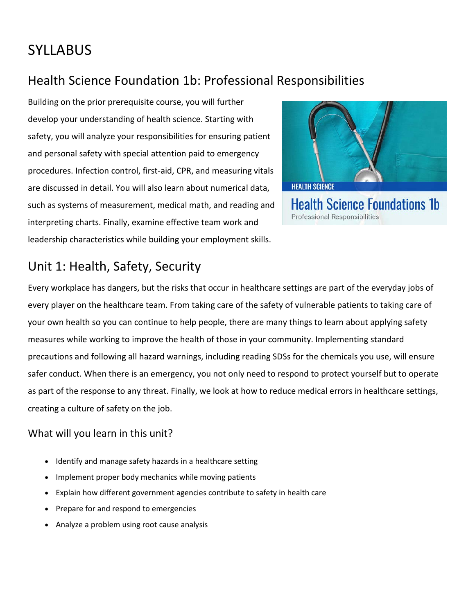# **SYLLABUS**

## Health Science Foundation 1b: Professional Responsibilities

Building on the prior prerequisite course, you will further develop your understanding of health science. Starting with safety, you will analyze your responsibilities for ensuring patient and personal safety with special attention paid to emergency procedures. Infection control, first-aid, CPR, and measuring vitals are discussed in detail. You will also learn about numerical data, such as systems of measurement, medical math, and reading and interpreting charts. Finally, examine effective team work and leadership characteristics while building your employment skills.



Professional Responsibilities

## Unit 1: Health, Safety, Security

Every workplace has dangers, but the risks that occur in healthcare settings are part of the everyday jobs of every player on the healthcare team. From taking care of the safety of vulnerable patients to taking care of your own health so you can continue to help people, there are many things to learn about applying safety measures while working to improve the health of those in your community. Implementing standard precautions and following all hazard warnings, including reading SDSs for the chemicals you use, will ensure safer conduct. When there is an emergency, you not only need to respond to protect yourself but to operate as part of the response to any threat. Finally, we look at how to reduce medical errors in healthcare settings, creating a culture of safety on the job.

- Identify and manage safety hazards in a healthcare setting
- Implement proper body mechanics while moving patients
- Explain how different government agencies contribute to safety in health care
- Prepare for and respond to emergencies
- Analyze a problem using root cause analysis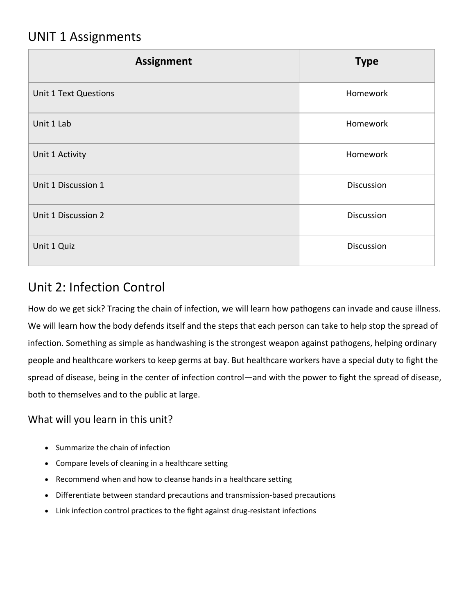### UNIT 1 Assignments

| <b>Assignment</b>     | <b>Type</b> |
|-----------------------|-------------|
| Unit 1 Text Questions | Homework    |
| Unit 1 Lab            | Homework    |
| Unit 1 Activity       | Homework    |
| Unit 1 Discussion 1   | Discussion  |
| Unit 1 Discussion 2   | Discussion  |
| Unit 1 Quiz           | Discussion  |

### Unit 2: Infection Control

How do we get sick? Tracing the chain of infection, we will learn how pathogens can invade and cause illness. We will learn how the body defends itself and the steps that each person can take to help stop the spread of infection. Something as simple as handwashing is the strongest weapon against pathogens, helping ordinary people and healthcare workers to keep germs at bay. But healthcare workers have a special duty to fight the spread of disease, being in the center of infection control—and with the power to fight the spread of disease, both to themselves and to the public at large.

- Summarize the chain of infection
- Compare levels of cleaning in a healthcare setting
- Recommend when and how to cleanse hands in a healthcare setting
- Differentiate between standard precautions and transmission-based precautions
- Link infection control practices to the fight against drug-resistant infections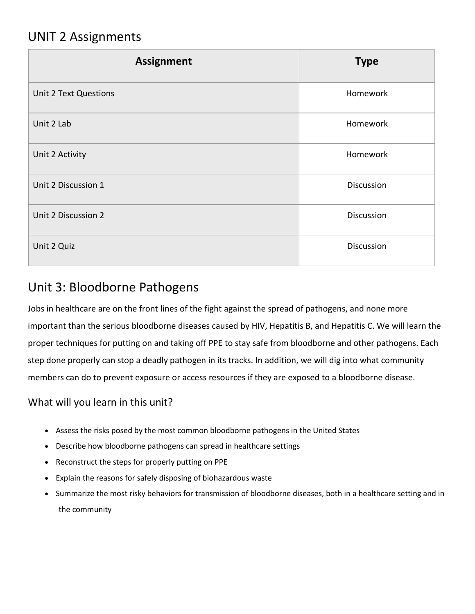### UNIT 2 Assignments

| <b>Assignment</b>            | <b>Type</b>       |
|------------------------------|-------------------|
| <b>Unit 2 Text Questions</b> | Homework          |
| Unit 2 Lab                   | Homework          |
| Unit 2 Activity              | Homework          |
| Unit 2 Discussion 1          | <b>Discussion</b> |
| Unit 2 Discussion 2          | Discussion        |
| Unit 2 Quiz                  | Discussion        |

### Unit 3: Bloodborne Pathogens

Jobs in healthcare are on the front lines of the fight against the spread of pathogens, and none more important than the serious bloodborne diseases caused by HIV, Hepatitis B, and Hepatitis C. We will learn the proper techniques for putting on and taking off PPE to stay safe from bloodborne and other pathogens. Each step done properly can stop a deadly pathogen in its tracks. In addition, we will dig into what community members can do to prevent exposure or access resources if they are exposed to a bloodborne disease.

- Assess the risks posed by the most common bloodborne pathogens in the United States
- Describe how bloodborne pathogens can spread in healthcare settings
- Reconstruct the steps for properly putting on PPE
- Explain the reasons for safely disposing of biohazardous waste
- Summarize the most risky behaviors for transmission of bloodborne diseases, both in a healthcare setting and in the community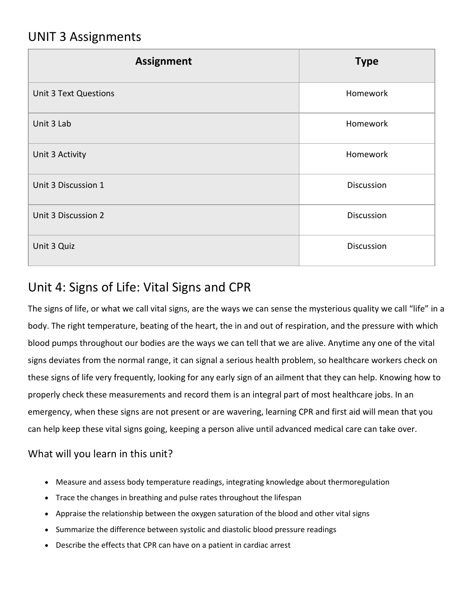### UNIT 3 Assignments

| <b>Assignment</b>            | <b>Type</b> |
|------------------------------|-------------|
| <b>Unit 3 Text Questions</b> | Homework    |
| Unit 3 Lab                   | Homework    |
| Unit 3 Activity              | Homework    |
| Unit 3 Discussion 1          | Discussion  |
| Unit 3 Discussion 2          | Discussion  |
| Unit 3 Quiz                  | Discussion  |

### Unit 4: Signs of Life: Vital Signs and CPR

The signs of life, or what we call vital signs, are the ways we can sense the mysterious quality we call "life" in a body. The right temperature, beating of the heart, the in and out of respiration, and the pressure with which blood pumps throughout our bodies are the ways we can tell that we are alive. Anytime any one of the vital signs deviates from the normal range, it can signal a serious health problem, so healthcare workers check on these signs of life very frequently, looking for any early sign of an ailment that they can help. Knowing how to properly check these measurements and record them is an integral part of most healthcare jobs. In an emergency, when these signs are not present or are wavering, learning CPR and first aid will mean that you can help keep these vital signs going, keeping a person alive until advanced medical care can take over.

- Measure and assess body temperature readings, integrating knowledge about thermoregulation
- Trace the changes in breathing and pulse rates throughout the lifespan
- Appraise the relationship between the oxygen saturation of the blood and other vital signs
- Summarize the difference between systolic and diastolic blood pressure readings
- Describe the effects that CPR can have on a patient in cardiac arrest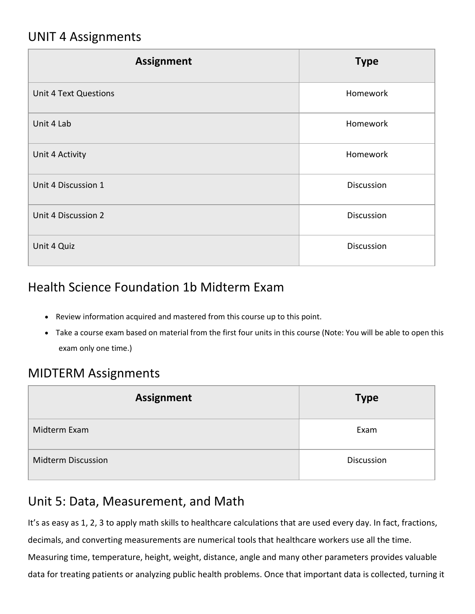### UNIT 4 Assignments

| <b>Assignment</b>            | <b>Type</b> |
|------------------------------|-------------|
| <b>Unit 4 Text Questions</b> | Homework    |
| Unit 4 Lab                   | Homework    |
| Unit 4 Activity              | Homework    |
| Unit 4 Discussion 1          | Discussion  |
| Unit 4 Discussion 2          | Discussion  |
| Unit 4 Quiz                  | Discussion  |

### Health Science Foundation 1b Midterm Exam

- Review information acquired and mastered from this course up to this point.
- Take a course exam based on material from the first four units in this course (Note: You will be able to open this exam only one time.)

#### MIDTERM Assignments

| <b>Assignment</b>         | <b>Type</b> |
|---------------------------|-------------|
| Midterm Exam              | Exam        |
| <b>Midterm Discussion</b> | Discussion  |

#### Unit 5: Data, Measurement, and Math

It's as easy as 1, 2, 3 to apply math skills to healthcare calculations that are used every day. In fact, fractions, decimals, and converting measurements are numerical tools that healthcare workers use all the time. Measuring time, temperature, height, weight, distance, angle and many other parameters provides valuable data for treating patients or analyzing public health problems. Once that important data is collected, turning it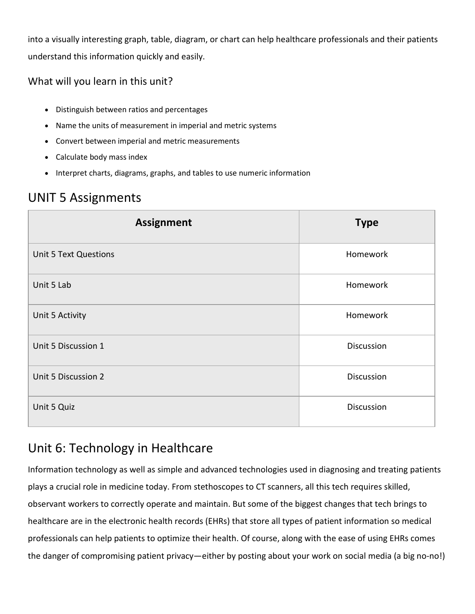into a visually interesting graph, table, diagram, or chart can help healthcare professionals and their patients understand this information quickly and easily.

#### What will you learn in this unit?

- Distinguish between ratios and percentages
- Name the units of measurement in imperial and metric systems
- Convert between imperial and metric measurements
- Calculate body mass index
- Interpret charts, diagrams, graphs, and tables to use numeric information

## UNIT 5 Assignments

| <b>Assignment</b>            | <b>Type</b> |
|------------------------------|-------------|
| <b>Unit 5 Text Questions</b> | Homework    |
| Unit 5 Lab                   | Homework    |
| Unit 5 Activity              | Homework    |
| Unit 5 Discussion 1          | Discussion  |
| Unit 5 Discussion 2          | Discussion  |
| Unit 5 Quiz                  | Discussion  |

### Unit 6: Technology in Healthcare

Information technology as well as simple and advanced technologies used in diagnosing and treating patients plays a crucial role in medicine today. From stethoscopes to CT scanners, all this tech requires skilled, observant workers to correctly operate and maintain. But some of the biggest changes that tech brings to healthcare are in the electronic health records (EHRs) that store all types of patient information so medical professionals can help patients to optimize their health. Of course, along with the ease of using EHRs comes the danger of compromising patient privacy—either by posting about your work on social media (a big no-no!)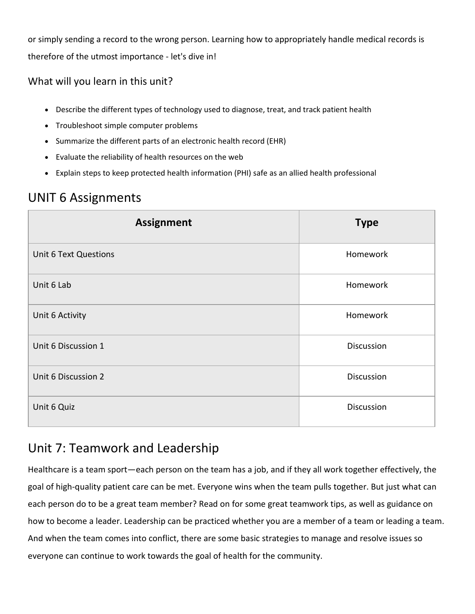or simply sending a record to the wrong person. Learning how to appropriately handle medical records is therefore of the utmost importance - let's dive in!

#### What will you learn in this unit?

- Describe the different types of technology used to diagnose, treat, and track patient health
- Troubleshoot simple computer problems
- Summarize the different parts of an electronic health record (EHR)
- Evaluate the reliability of health resources on the web
- Explain steps to keep protected health information (PHI) safe as an allied health professional

### UNIT 6 Assignments

| <b>Assignment</b>            | <b>Type</b> |
|------------------------------|-------------|
| <b>Unit 6 Text Questions</b> | Homework    |
| Unit 6 Lab                   | Homework    |
| Unit 6 Activity              | Homework    |
| Unit 6 Discussion 1          | Discussion  |
| Unit 6 Discussion 2          | Discussion  |
| Unit 6 Quiz                  | Discussion  |

### Unit 7: Teamwork and Leadership

Healthcare is a team sport—each person on the team has a job, and if they all work together effectively, the goal of high-quality patient care can be met. Everyone wins when the team pulls together. But just what can each person do to be a great team member? Read on for some great teamwork tips, as well as guidance on how to become a leader. Leadership can be practiced whether you are a member of a team or leading a team. And when the team comes into conflict, there are some basic strategies to manage and resolve issues so everyone can continue to work towards the goal of health for the community.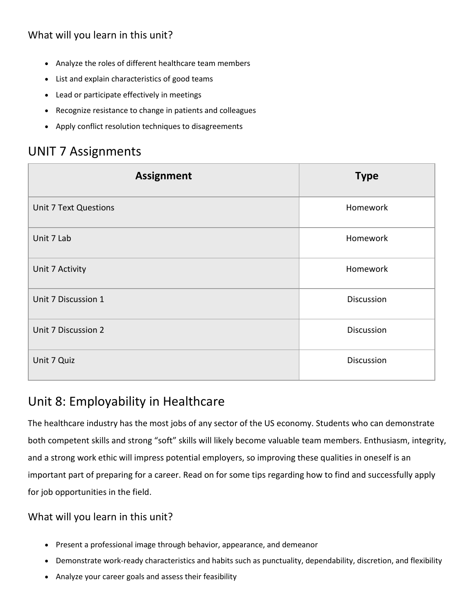#### What will you learn in this unit?

- Analyze the roles of different healthcare team members
- List and explain characteristics of good teams
- Lead or participate effectively in meetings
- Recognize resistance to change in patients and colleagues
- Apply conflict resolution techniques to disagreements

#### UNIT 7 Assignments

| <b>Assignment</b>            | <b>Type</b> |
|------------------------------|-------------|
| <b>Unit 7 Text Questions</b> | Homework    |
| Unit 7 Lab                   | Homework    |
| Unit 7 Activity              | Homework    |
| Unit 7 Discussion 1          | Discussion  |
| Unit 7 Discussion 2          | Discussion  |
| Unit 7 Quiz                  | Discussion  |

#### Unit 8: Employability in Healthcare

The healthcare industry has the most jobs of any sector of the US economy. Students who can demonstrate both competent skills and strong "soft" skills will likely become valuable team members. Enthusiasm, integrity, and a strong work ethic will impress potential employers, so improving these qualities in oneself is an important part of preparing for a career. Read on for some tips regarding how to find and successfully apply for job opportunities in the field.

- Present a professional image through behavior, appearance, and demeanor
- Demonstrate work-ready characteristics and habits such as punctuality, dependability, discretion, and flexibility
- Analyze your career goals and assess their feasibility